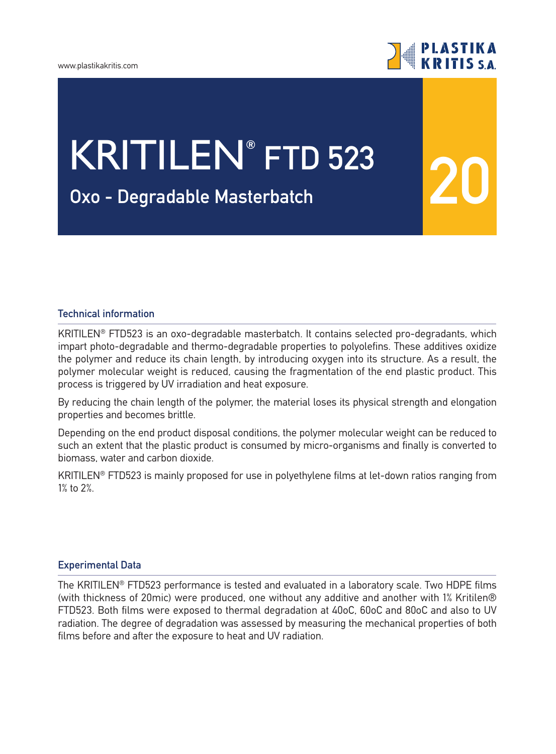

**20**

# KRITILEN**® FTD 523**

## **Oχο - Degradable Μasterbatch**

#### **Technical information**

KRITILEN® FTD523 is an oxo-degradable masterbatch. It contains selected pro-degradants, which impart photo-degradable and thermo-degradable properties to polyolefins. These additives oxidize the polymer and reduce its chain length, by introducing oxygen into its structure. As a result, the polymer molecular weight is reduced, causing the fragmentation of the end plastic product. This process is triggered by UV irradiation and heat exposure.

By reducing the chain length of the polymer, the material loses its physical strength and elongation properties and becomes brittle.

Depending on the end product disposal conditions, the polymer molecular weight can be reduced to such an extent that the plastic product is consumed by micro-organisms and finally is converted to biomass, water and carbon dioxide.

KRITILEN® FTD523 is mainly proposed for use in polyethylene films at let-down ratios ranging from 1% to 2%.

#### **Experimental Data**

The KRITILEN® FTD523 performance is tested and evaluated in a laboratory scale. Two HDPE films (with thickness of 20mic) were produced, one without any additive and another with 1% Kritilen® FTD523. Both films were exposed to thermal degradation at 40oC, 60oC and 80oC and also to UV radiation. The degree of degradation was assessed by measuring the mechanical properties of both films before and after the exposure to heat and UV radiation.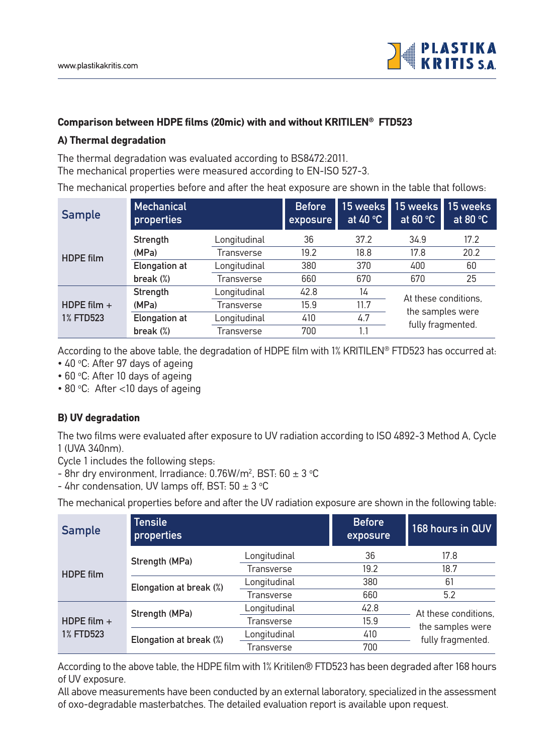

#### **Comparison between HDPE films (20mic) with and without KRITILEN® FTD523**

#### **A) Thermal degradation**

The thermal degradation was evaluated according to BS8472:2011. The mechanical properties were measured according to EN-ISO 527-3.

The mechanical properties before and after the heat exposure are shown in the table that follows:

| <b>Sample</b>    | Mechanical<br>properties |              | <b>Before</b><br>exposure | at $40 °C$ | 15 weeks 15 weeks<br>at $60 °C$ | 15 weeks<br>at 80 $\degree$ C |
|------------------|--------------------------|--------------|---------------------------|------------|---------------------------------|-------------------------------|
| <b>HDPE</b> film | Strength                 | Longitudinal | 36                        | 37.2       | 34.9                            | 17.2                          |
|                  | (MPa)                    | Transverse   | 19.2                      | 18.8       | 17.8                            | 20.2                          |
|                  | <b>Elongation at</b>     | Longitudinal | 380                       | 370        | 400                             | 60                            |
|                  | break $(\%)$             | Transverse   | 660                       | 670        | 670                             | 25                            |
|                  | Strength                 | Longitudinal | 42.8                      | 14         | At these conditions.            |                               |
| HDPE film $+$    | (MPa)                    | Transverse   | 15.9                      | 11.7       | the samples were                |                               |
| <b>1% FTD523</b> | <b>Elongation at</b>     | Longitudinal | 410                       | 4.7        | fully fragmented.               |                               |
|                  | break $(\%)$             | Transverse   | 700                       | 1.1        |                                 |                               |

According to the above table, the degradation of HDPE film with 1% KRITILEN® FTD523 has occurred at:

- 40 °C: After 97 days of ageing
- 60 °C: After 10 days of ageing
- 80 °C: After < 10 days of ageing

### **B) UV degradation**

The two films were evaluated after exposure to UV radiation according to ISO 4892-3 Method A, Cycle 1 (UVA 340nm).

Cycle 1 includes the following steps:

- 8hr dry environment, Irradiance:  $0.76$ W/m<sup>2</sup>, BST:  $60 \pm 3$  °C
- 4hr condensation, UV lamps off, BST:  $50 \pm 3$  °C

The mechanical properties before and after the UV radiation exposure are shown in the following table:

| <b>Sample</b>                     | <b>Tensile</b><br>properties |              | <b>Before</b><br>exposure | 168 hours in QUV                                              |  |
|-----------------------------------|------------------------------|--------------|---------------------------|---------------------------------------------------------------|--|
| <b>HDPE</b> film                  | Strength (MPa)               | Longitudinal | 36                        | 17.8                                                          |  |
|                                   |                              | Transverse   | 19.2                      | 18.7                                                          |  |
|                                   | Elongation at break (%)      | Longitudinal | 380                       | 61                                                            |  |
|                                   |                              | Transverse   | 660                       | 5.2                                                           |  |
| HDPE film $+$<br><b>1% FTD523</b> | Strength (MPa)               | Longitudinal | 42.8                      | At these conditions.<br>the samples were<br>fully fragmented. |  |
|                                   |                              | Transverse   | 15.9                      |                                                               |  |
|                                   | Elongation at break (%)      | Longitudinal | 410                       |                                                               |  |
|                                   |                              | Transverse   | 700                       |                                                               |  |

According to the above table, the HDPE film with 1% Kritilen® FTD523 has been degraded after 168 hours of UV exposure.

All above measurements have been conducted by an external laboratory, specialized in the assessment of oxo-degradable masterbatches. The detailed evaluation report is available upon request.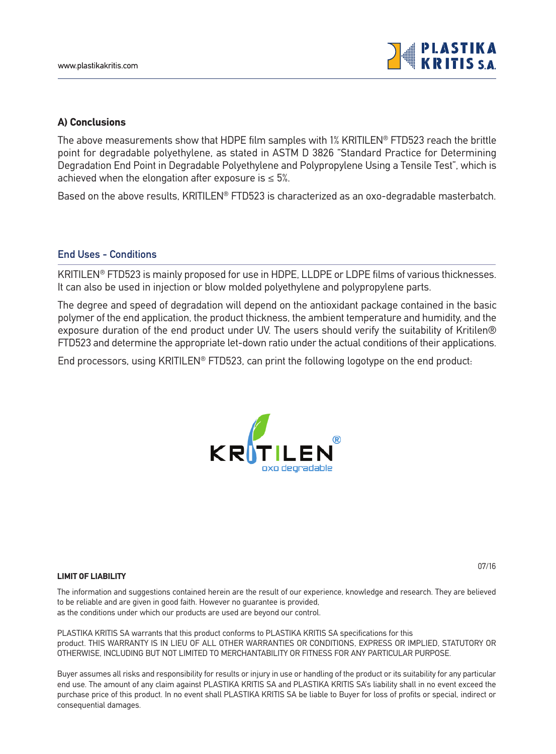

#### **A) Conclusions**

The above measurements show that HDPE film samples with 1% KRITILEN® FTD523 reach the brittle point for degradable polyethylene, as stated in ASTM D 3826 "Standard Practice for Determining Degradation End Point in Degradable Polyethylene and Polypropylene Using a Tensile Test", which is achieved when the elongation after exposure is  $\leq 5\%$ .

Based on the above results, KRITILEN® FTD523 is characterized as an oxo-degradable masterbatch.

#### **End Uses - Conditions**

KRITILEN® FTD523 is mainly proposed for use in HDPE, LLDPE or LDPE films of various thicknesses. It can also be used in injection or blow molded polyethylene and polypropylene parts.

The degree and speed of degradation will depend on the antioxidant package contained in the basic polymer of the end application, the product thickness, the ambient temperature and humidity, and the exposure duration of the end product under UV. The users should verify the suitability of Kritilen® FTD523 and determine the appropriate let-down ratio under the actual conditions of their applications.

End processors, using KRITILEN® FTD523, can print the following logotype on the end product:



#### **LIMIT OF LIABILITY**

07/16

The information and suggestions contained herein are the result of our experience, knowledge and research. They are believed to be reliable and are given in good faith. However no guarantee is provided, as the conditions under which our products are used are beyond our control.

PLASTIKA KRITIS SA warrants that this product conforms to PLASTIKA KRITIS SA specifications for this product. THIS WARRANTY IS IN LIEU OF ALL OTHER WARRANTIES OR CONDITIONS, EXPRESS OR IMPLIED, STATUTORY OR OTHERWISE, INCLUDING BUT NOT LIMITED TO MERCHANTABILITY OR FITNESS FOR ANY PARTICULAR PURPOSE.

Buyer assumes all risks and responsibility for results or injury in use or handling of the product or its suitability for any particular end use. The amount of any claim against PLASTIKA KRITIS SA and PLASTIKA KRITIS SA's liability shall in no event exceed the purchase price of this product. In no event shall PLASTIKA KRITIS SA be liable to Buyer for loss of profits or special, indirect or consequential damages.